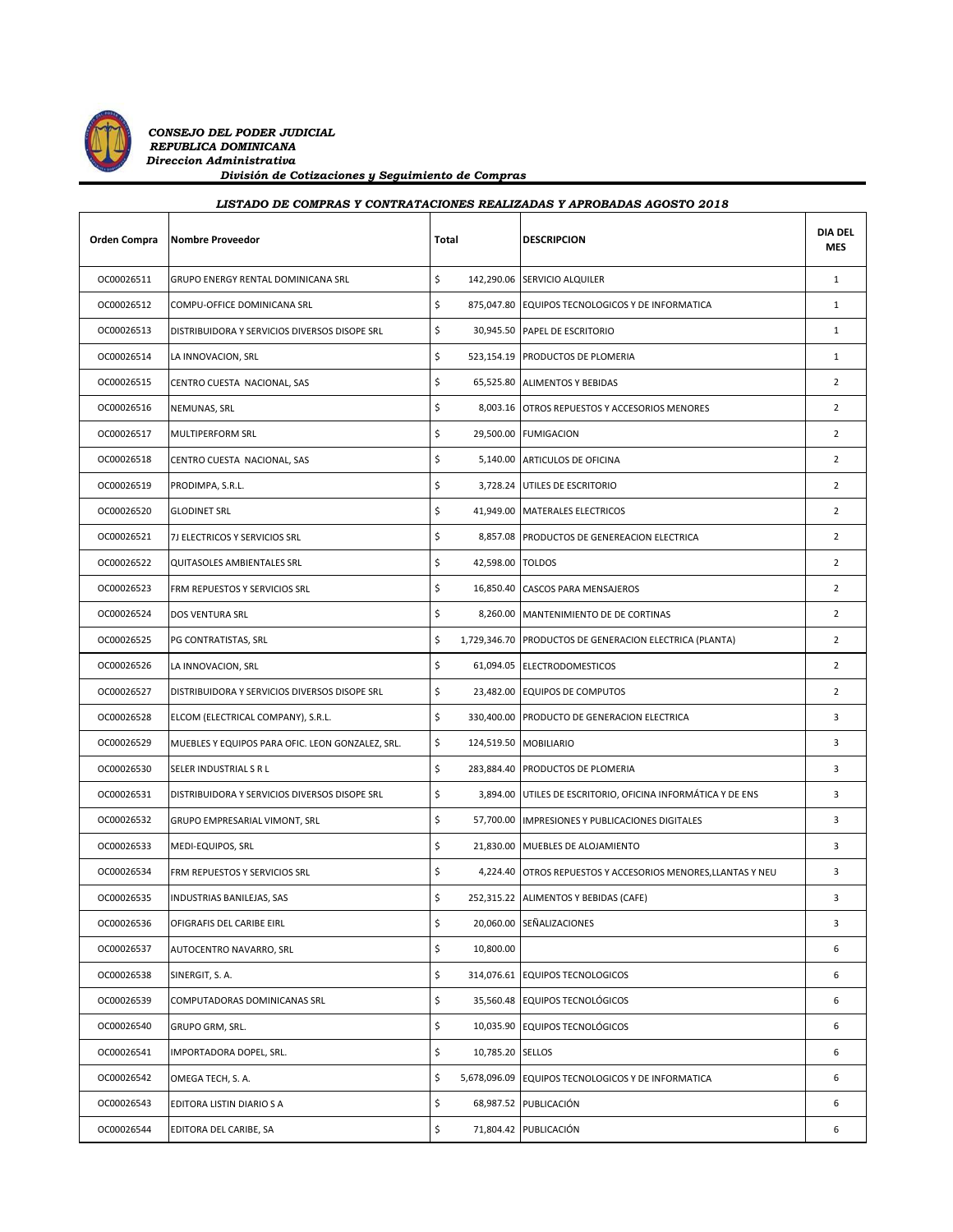

*CONSEJO DEL PODER JUDICIAL REPUBLICA DOMINICANA Direccion Administrativa División de Cotizaciones y Seguimiento de Compras*

| LISTADO DE COMPRAS Y CONTRATACIONES REALIZADAS Y APROBADAS AGOSTO 2018 |                                                  |                        |                                                              |                       |  |
|------------------------------------------------------------------------|--------------------------------------------------|------------------------|--------------------------------------------------------------|-----------------------|--|
| Orden Compra                                                           | <b>Nombre Proveedor</b>                          | Total                  | <b>DESCRIPCION</b>                                           | <b>DIA DEL</b><br>MES |  |
| OC00026511                                                             | GRUPO ENERGY RENTAL DOMINICANA SRL               | \$                     | 142,290.06 SERVICIO ALQUILER                                 | $\mathbf{1}$          |  |
| OC00026512                                                             | COMPU-OFFICE DOMINICANA SRL                      | \$                     | 875,047.80 EQUIPOS TECNOLOGICOS Y DE INFORMATICA             | $\mathbf{1}$          |  |
| OC00026513                                                             | DISTRIBUIDORA Y SERVICIOS DIVERSOS DISOPE SRL    | \$                     | 30,945.50 PAPEL DE ESCRITORIO                                | $\mathbf{1}$          |  |
| OC00026514                                                             | LA INNOVACION, SRL                               | \$                     | 523,154.19 PRODUCTOS DE PLOMERIA                             | $\mathbf{1}$          |  |
| OC00026515                                                             | CENTRO CUESTA NACIONAL, SAS                      | \$                     | 65,525.80 ALIMENTOS Y BEBIDAS                                | $\overline{2}$        |  |
| OC00026516                                                             | NEMUNAS, SRL                                     | \$                     | 8,003.16 OTROS REPUESTOS Y ACCESORIOS MENORES                | $\overline{2}$        |  |
| OC00026517                                                             | MULTIPERFORM SRL                                 | \$                     | 29,500.00 FUMIGACION                                         | $\overline{2}$        |  |
| OC00026518                                                             | CENTRO CUESTA NACIONAL, SAS                      | \$                     | 5,140.00 ARTICULOS DE OFICINA                                | $\overline{2}$        |  |
| OC00026519                                                             | PRODIMPA, S.R.L.                                 | \$                     | 3,728.24 UTILES DE ESCRITORIO                                | $\overline{2}$        |  |
| OC00026520                                                             | <b>GLODINET SRL</b>                              | \$                     | 41,949.00 MATERALES ELECTRICOS                               | $\overline{2}$        |  |
| OC00026521                                                             | 7J ELECTRICOS Y SERVICIOS SRL                    | \$                     | 8,857.08 PRODUCTOS DE GENEREACION ELECTRICA                  | $\overline{2}$        |  |
| OC00026522                                                             | QUITASOLES AMBIENTALES SRL                       | \$<br>42,598.00 TOLDOS |                                                              | $\overline{2}$        |  |
| OC00026523                                                             | FRM REPUESTOS Y SERVICIOS SRL                    | \$                     | 16.850.40 CASCOS PARA MENSAJEROS                             | $\overline{2}$        |  |
| OC00026524                                                             | <b>DOS VENTURA SRL</b>                           | \$                     | 8,260.00 MANTENIMIENTO DE DE CORTINAS                        | $\overline{2}$        |  |
| OC00026525                                                             | PG CONTRATISTAS, SRL                             | \$                     | 1,729,346.70 PRODUCTOS DE GENERACION ELECTRICA (PLANTA)      | $\overline{2}$        |  |
| OC00026526                                                             | LA INNOVACION, SRL                               | \$                     | 61,094.05 ELECTRODOMESTICOS                                  | $\overline{2}$        |  |
| OC00026527                                                             | DISTRIBUIDORA Y SERVICIOS DIVERSOS DISOPE SRL    | \$                     | 23,482.00 EQUIPOS DE COMPUTOS                                | $\overline{2}$        |  |
| OC00026528                                                             | ELCOM (ELECTRICAL COMPANY), S.R.L.               | \$                     | 330,400.00 PRODUCTO DE GENERACION ELECTRICA                  | $\overline{3}$        |  |
| OC00026529                                                             | MUEBLES Y EQUIPOS PARA OFIC. LEON GONZALEZ, SRL. | \$                     | 124,519.50 MOBILIARIO                                        | 3                     |  |
| OC00026530                                                             | SELER INDUSTRIAL S R L                           | \$                     | 283,884.40 PRODUCTOS DE PLOMERIA                             | 3                     |  |
| OC00026531                                                             | DISTRIBUIDORA Y SERVICIOS DIVERSOS DISOPE SRL    | \$                     | 3,894.00 UTILES DE ESCRITORIO, OFICINA INFORMÁTICA Y DE ENS  | 3                     |  |
| OC00026532                                                             | GRUPO EMPRESARIAL VIMONT, SRL                    | \$                     | 57,700.00 IMPRESIONES Y PUBLICACIONES DIGITALES              | 3                     |  |
| OC00026533                                                             | MEDI-EQUIPOS, SRL                                | \$                     | 21,830.00 MUEBLES DE ALOJAMIENTO                             | 3                     |  |
| OC00026534                                                             | FRM REPUESTOS Y SERVICIOS SRL                    | \$                     | 4,224.40 OTROS REPUESTOS Y ACCESORIOS MENORES, LLANTAS Y NEU | 3                     |  |
| OC00026535                                                             | INDUSTRIAS BANILEJAS, SAS                        | \$                     | 252,315.22 ALIMENTOS Y BEBIDAS (CAFE)                        | 3                     |  |
| OC00026536                                                             | OFIGRAFIS DEL CARIBE EIRL                        | \$                     | 20,060.00 SEÑALIZACIONES                                     | 3                     |  |
| OC00026537                                                             | AUTOCENTRO NAVARRO, SRL                          | \$<br>10,800.00        |                                                              | 6                     |  |
| OC00026538                                                             | SINERGIT, S.A.                                   | \$                     | 314,076.61 EQUIPOS TECNOLOGICOS                              | 6                     |  |
| OC00026539                                                             | COMPUTADORAS DOMINICANAS SRL                     | \$                     | 35,560.48 EQUIPOS TECNOLÓGICOS                               | 6                     |  |
| OC00026540                                                             | GRUPO GRM, SRL.                                  | \$                     | 10,035.90 EQUIPOS TECNOLÓGICOS                               | 6                     |  |
| OC00026541                                                             | IMPORTADORA DOPEL, SRL.                          | \$<br>10,785.20 SELLOS |                                                              | 6                     |  |
| OC00026542                                                             | OMEGA TECH, S. A.                                | \$<br>5,678,096.09     | EQUIPOS TECNOLOGICOS Y DE INFORMATICA                        | 6                     |  |
| OC00026543                                                             | EDITORA LISTIN DIARIO S A                        | \$                     | 68,987.52 PUBLICACIÓN                                        | 6                     |  |
| OC00026544                                                             | EDITORA DEL CARIBE, SA                           | \$                     | 71,804.42 PUBLICACIÓN                                        | 6                     |  |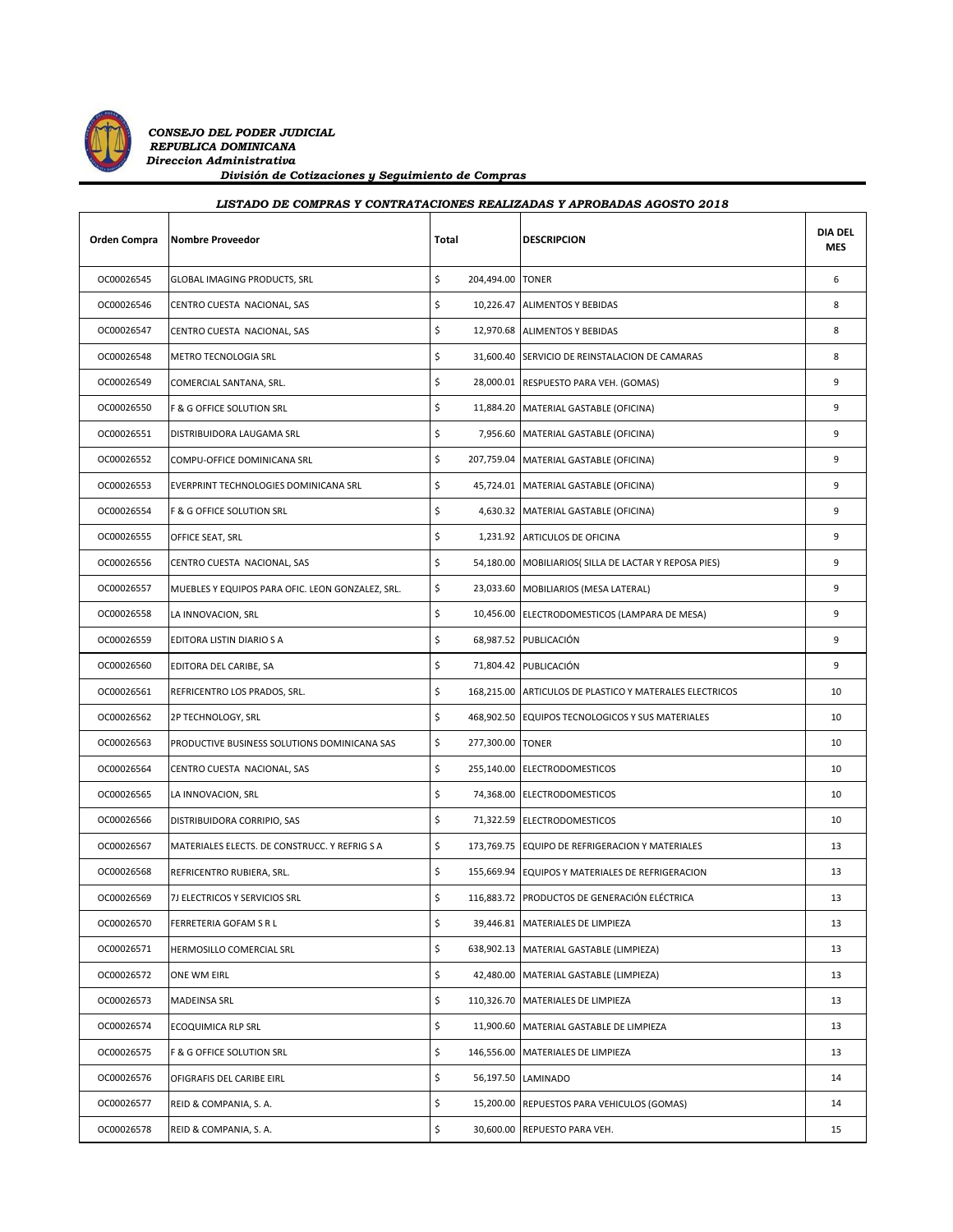

*CONSEJO DEL PODER JUDICIAL REPUBLICA DOMINICANA Direccion Administrativa*

| División de Cotizaciones y Seguimiento de Compras |  |
|---------------------------------------------------|--|
|                                                   |  |

| LISTADO DE COMPRAS Y CONTRATACIONES REALIZADAS Y APROBADAS AGOSTO 2018 |                                                  |                        |                                                         |                       |  |
|------------------------------------------------------------------------|--------------------------------------------------|------------------------|---------------------------------------------------------|-----------------------|--|
| <b>Orden Compra</b>                                                    | <b>Nombre Proveedor</b>                          | Total                  | <b>DESCRIPCION</b>                                      | <b>DIA DEL</b><br>MES |  |
| OC00026545                                                             | GLOBAL IMAGING PRODUCTS, SRL                     | \$<br>204,494.00 TONER |                                                         | 6                     |  |
| OC00026546                                                             | CENTRO CUESTA NACIONAL, SAS                      | \$                     | 10,226.47 ALIMENTOS Y BEBIDAS                           | 8                     |  |
| OC00026547                                                             | CENTRO CUESTA NACIONAL, SAS                      | \$                     | 12,970.68 ALIMENTOS Y BEBIDAS                           | 8                     |  |
| OC00026548                                                             | METRO TECNOLOGIA SRL                             | \$                     | 31,600.40 SERVICIO DE REINSTALACION DE CAMARAS          | 8                     |  |
| OC00026549                                                             | COMERCIAL SANTANA, SRL.                          | \$                     | 28,000.01 RESPUESTO PARA VEH. (GOMAS)                   | 9                     |  |
| OC00026550                                                             | F & G OFFICE SOLUTION SRL                        | \$                     | 11,884.20 MATERIAL GASTABLE (OFICINA)                   | 9                     |  |
| OC00026551                                                             | DISTRIBUIDORA LAUGAMA SRL                        | \$                     | 7,956.60 MATERIAL GASTABLE (OFICINA)                    | 9                     |  |
| OC00026552                                                             | COMPU-OFFICE DOMINICANA SRL                      | \$                     | 207,759.04 MATERIAL GASTABLE (OFICINA)                  | 9                     |  |
| OC00026553                                                             | EVERPRINT TECHNOLOGIES DOMINICANA SRL            | \$                     | 45,724.01 MATERIAL GASTABLE (OFICINA)                   | 9                     |  |
| OC00026554                                                             | F & G OFFICE SOLUTION SRL                        | \$                     | 4,630.32 MATERIAL GASTABLE (OFICINA)                    | 9                     |  |
| OC00026555                                                             | OFFICE SEAT, SRL                                 | \$                     | 1,231.92 ARTICULOS DE OFICINA                           | 9                     |  |
| OC00026556                                                             | CENTRO CUESTA NACIONAL, SAS                      | \$                     | 54,180.00 MOBILIARIOS (SILLA DE LACTAR Y REPOSA PIES)   | 9                     |  |
| OC00026557                                                             | MUEBLES Y EQUIPOS PARA OFIC. LEON GONZALEZ, SRL. | \$                     | 23,033.60 MOBILIARIOS (MESA LATERAL)                    | 9                     |  |
| OC00026558                                                             | LA INNOVACION, SRL                               | \$                     | 10,456.00 ELECTRODOMESTICOS (LAMPARA DE MESA)           | 9                     |  |
| OC00026559                                                             | EDITORA LISTIN DIARIO S A                        | \$                     | 68,987.52 PUBLICACIÓN                                   | 9                     |  |
| OC00026560                                                             | EDITORA DEL CARIBE, SA                           | \$                     | 71,804.42 PUBLICACIÓN                                   | 9                     |  |
| OC00026561                                                             | REFRICENTRO LOS PRADOS, SRL.                     | \$                     | 168,215.00 ARTICULOS DE PLASTICO Y MATERALES ELECTRICOS | 10                    |  |
| OC00026562                                                             | 2P TECHNOLOGY, SRL                               | \$                     | 468,902.50 EQUIPOS TECNOLOGICOS Y SUS MATERIALES        | 10                    |  |
| OC00026563                                                             | PRODUCTIVE BUSINESS SOLUTIONS DOMINICANA SAS     | \$<br>277,300.00 TONER |                                                         | 10                    |  |
| OC00026564                                                             | CENTRO CUESTA NACIONAL, SAS                      | \$                     | 255,140.00 ELECTRODOMESTICOS                            | 10                    |  |
| OC00026565                                                             | LA INNOVACION, SRL                               | \$                     | 74,368.00 ELECTRODOMESTICOS                             | 10                    |  |
| OC00026566                                                             | DISTRIBUIDORA CORRIPIO, SAS                      | \$                     | 71,322.59 ELECTRODOMESTICOS                             | 10                    |  |
| OC00026567                                                             | MATERIALES ELECTS. DE CONSTRUCC. Y REFRIG S A    | \$                     | 173,769.75 EQUIPO DE REFRIGERACION Y MATERIALES         | 13                    |  |
| OC00026568                                                             | REFRICENTRO RUBIERA, SRL.                        | \$<br>155,669.94       | EQUIPOS Y MATERIALES DE REFRIGERACION                   | 13                    |  |
| OC00026569                                                             | 7J ELECTRICOS Y SERVICIOS SRL                    | \$<br>116,883.72       | PRODUCTOS DE GENERACION ELECTRICA                       | 13                    |  |
| OC00026570                                                             | FERRETERIA GOFAM S R L                           | \$<br>39.446.81        | MATERIALES DE LIMPIEZA                                  | 13                    |  |
| OC00026571                                                             | HERMOSILLO COMERCIAL SRL                         | \$<br>638,902.13       | MATERIAL GASTABLE (LIMPIEZA)                            | 13                    |  |
| OC00026572                                                             | ONE WM EIRL                                      | \$<br>42,480.00        | MATERIAL GASTABLE (LIMPIEZA)                            | 13                    |  |
| OC00026573                                                             | <b>MADEINSA SRL</b>                              | \$<br>110,326.70       | MATERIALES DE LIMPIEZA                                  | 13                    |  |
| OC00026574                                                             | <b>ECOQUIMICA RLP SRL</b>                        | \$<br>11,900.60        | MATERIAL GASTABLE DE LIMPIEZA                           | 13                    |  |
| OC00026575                                                             | F & G OFFICE SOLUTION SRL                        | \$<br>146,556.00       | MATERIALES DE LIMPIEZA                                  | 13                    |  |
| OC00026576                                                             | OFIGRAFIS DEL CARIBE EIRL                        | \$<br>56,197.50        | <b>LAMINADO</b>                                         | 14                    |  |
| OC00026577                                                             | REID & COMPANIA, S. A.                           | \$<br>15,200.00        | REPUESTOS PARA VEHICULOS (GOMAS)                        | 14                    |  |
| OC00026578                                                             | REID & COMPANIA, S. A.                           | \$<br>30,600.00        | REPUESTO PARA VEH.                                      | 15                    |  |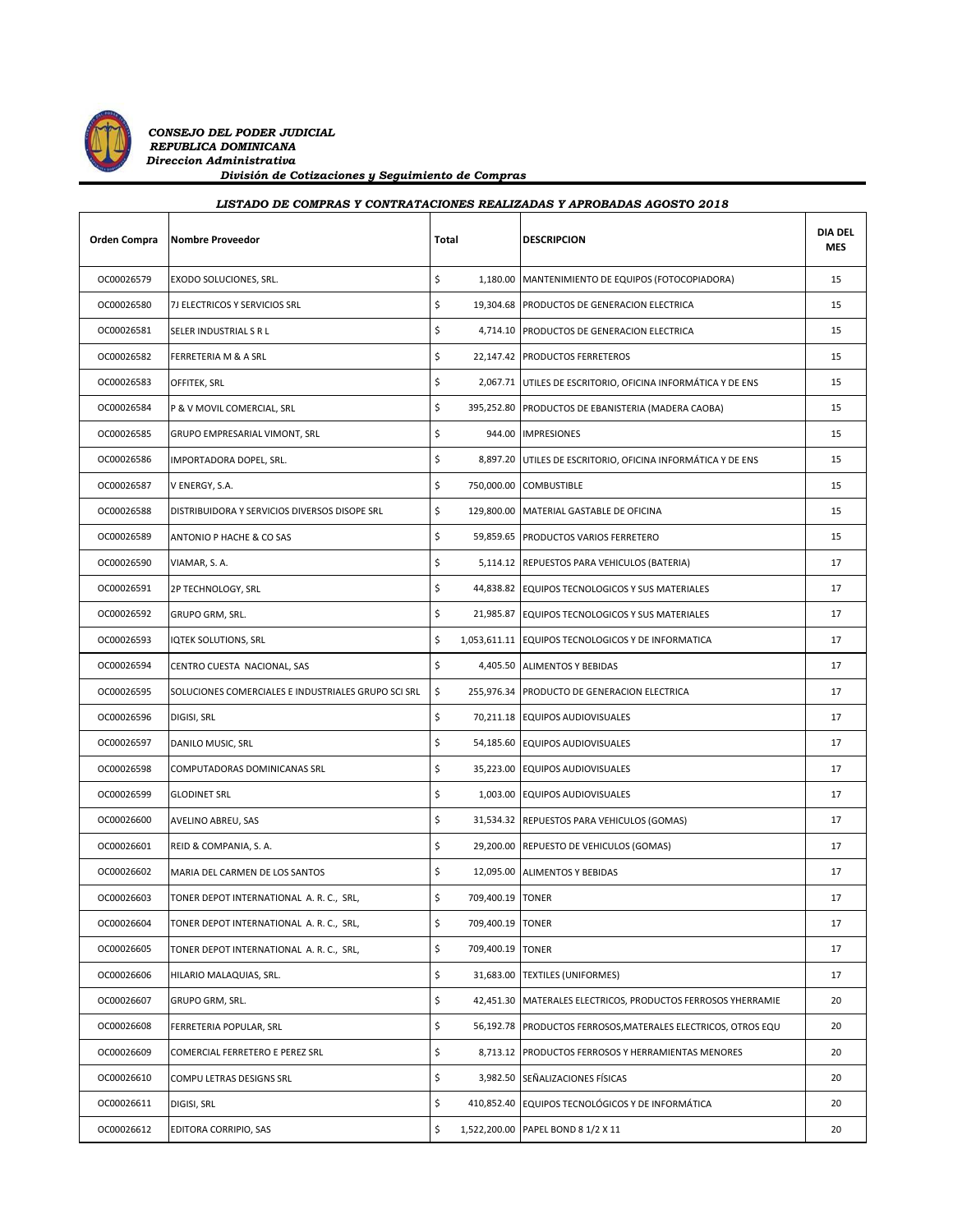

 *CONSEJO DEL PODER JUDICIAL REPUBLICA DOMINICANA Direccion Administrativa División de Cotizaciones y Seguimiento de Compras*

| LISTADO DE COMPRAS Y CONTRATACIONES REALIZADAS Y APROBADAS AGOSTO 2018 |                                                     |                    |                  |                                                             |                              |
|------------------------------------------------------------------------|-----------------------------------------------------|--------------------|------------------|-------------------------------------------------------------|------------------------------|
| <b>Orden Compra</b>                                                    | <b>Nombre Proveedor</b>                             | Total              |                  | <b>DESCRIPCION</b>                                          | <b>DIA DEL</b><br><b>MES</b> |
| OC00026579                                                             | EXODO SOLUCIONES, SRL.                              | \$                 | 1,180.00         | MANTENIMIENTO DE EQUIPOS (FOTOCOPIADORA)                    | 15                           |
| OC00026580                                                             | 7J ELECTRICOS Y SERVICIOS SRL                       | \$                 |                  | 19,304.68 PRODUCTOS DE GENERACION ELECTRICA                 | 15                           |
| OC00026581                                                             | SELER INDUSTRIAL S R L                              | \$                 |                  | 4,714.10 PRODUCTOS DE GENERACION ELECTRICA                  | 15                           |
| OC00026582                                                             | FERRETERIA M & A SRL                                | \$                 |                  | 22,147.42 PRODUCTOS FERRETEROS                              | 15                           |
| OC00026583                                                             | OFFITEK, SRL                                        | \$                 |                  | 2,067.71 UTILES DE ESCRITORIO, OFICINA INFORMÁTICA Y DE ENS | 15                           |
| OC00026584                                                             | P & V MOVIL COMERCIAL, SRL                          | \$                 |                  | 395,252.80 PRODUCTOS DE EBANISTERIA (MADERA CAOBA)          | 15                           |
| OC00026585                                                             | GRUPO EMPRESARIAL VIMONT, SRL                       | \$                 | 944.00           | <b>IMPRESIONES</b>                                          | 15                           |
| OC00026586                                                             | IMPORTADORA DOPEL, SRL.                             | \$                 | 8,897.20         | UTILES DE ESCRITORIO, OFICINA INFORMÁTICA Y DE ENS          | 15                           |
| OC00026587                                                             | V ENERGY, S.A.                                      | \$                 | 750,000.00       | <b>COMBUSTIBLE</b>                                          | 15                           |
| OC00026588                                                             | DISTRIBUIDORA Y SERVICIOS DIVERSOS DISOPE SRL       | \$                 | 129,800.00       | MATERIAL GASTABLE DE OFICINA                                | 15                           |
| OC00026589                                                             | ANTONIO P HACHE & CO SAS                            | \$                 | 59,859.65        | PRODUCTOS VARIOS FERRETERO                                  | 15                           |
| OC00026590                                                             | VIAMAR, S. A.                                       | \$                 |                  | 5,114.12 REPUESTOS PARA VEHICULOS (BATERIA)                 | 17                           |
| OC00026591                                                             | 2P TECHNOLOGY, SRL                                  | \$                 |                  | 44,838.82 EQUIPOS TECNOLOGICOS Y SUS MATERIALES             | 17                           |
| OC00026592                                                             | GRUPO GRM, SRL.                                     | \$                 |                  | 21,985.87 EQUIPOS TECNOLOGICOS Y SUS MATERIALES             | 17                           |
| OC00026593                                                             | <b>IQTEK SOLUTIONS, SRL</b>                         | \$                 |                  | 1,053,611.11 EQUIPOS TECNOLOGICOS Y DE INFORMATICA          | 17                           |
| OC00026594                                                             | CENTRO CUESTA NACIONAL, SAS                         | \$                 |                  | 4,405.50 ALIMENTOS Y BEBIDAS                                | 17                           |
| OC00026595                                                             | SOLUCIONES COMERCIALES E INDUSTRIALES GRUPO SCI SRL | \$                 |                  | 255,976.34 PRODUCTO DE GENERACION ELECTRICA                 | 17                           |
| OC00026596                                                             | DIGISI, SRL                                         | \$                 |                  | 70,211.18 EQUIPOS AUDIOVISUALES                             | 17                           |
| OC00026597                                                             | DANILO MUSIC, SRL                                   | \$                 |                  | 54,185.60 EQUIPOS AUDIOVISUALES                             | 17                           |
| OC00026598                                                             | COMPUTADORAS DOMINICANAS SRL                        | \$                 |                  | 35,223.00 EQUIPOS AUDIOVISUALES                             | 17                           |
| OC00026599                                                             | <b>GLODINET SRL</b>                                 | \$                 |                  | 1,003.00 EQUIPOS AUDIOVISUALES                              | 17                           |
| OC00026600                                                             | AVELINO ABREU, SAS                                  | \$                 |                  | 31,534.32 REPUESTOS PARA VEHICULOS (GOMAS)                  | 17                           |
| OC00026601                                                             | REID & COMPANIA, S. A.                              | \$                 |                  | 29,200.00 REPUESTO DE VEHICULOS (GOMAS)                     | 17                           |
| OC00026602                                                             | MARIA DEL CARMEN DE LOS SANTOS                      | \$                 |                  | 12,095.00 ALIMENTOS Y BEBIDAS                               | 17                           |
| OC00026603                                                             | TONER DEPOT INTERNATIONAL A. R. C., SRL,            | \$                 | 709,400.19 TONER |                                                             | 17                           |
| OC00026604                                                             | TONER DEPOT INTERNATIONAL A. R. C., SRL,            | \$                 | 709,400.19 TONER |                                                             | 17                           |
| OC00026605                                                             | TONER DEPOT INTERNATIONAL A. R. C., SRL,            | $\mathsf{\hat{S}}$ | 709,400.19 TONER |                                                             | 17                           |

OC00026606 HILARIO MALAQUIAS, SRL. \$ 31,683.00 TEXTILES (UNIFORMES) 32,683.00 TEXTILES (UNIFORMES) OC00026607 GRUPO GRM, SRL.  $\begin{vmatrix} 5 & 42,451.30 \end{vmatrix}$  MATERALES ELECTRICOS, PRODUCTOS FERROSOS YHERRAMIE 20 OC00026608 FERRETERIA POPULAR, SRL \$56,192.78 PRODUCTOS FERROSOS, MATERALES ELECTRICOS, OTROS EQU 20 OC00026609 COMERCIAL FERRETERO E PEREZ SRL  $\vert$  \$ 8,713.12 PRODUCTOS FERROSOS Y HERRAMIENTAS MENORES 20 OC00026610 COMPU LETRAS DESIGNS SRL 20 OC00026611 DIGISI, SRL \$ 410,852.40 EQUIPOS TECNOLÓGICOS Y DE INFORMÁTICA 20 OC00026612 EDITORA CORRIPIO, SAS  $\begin{bmatrix} 5 & 1,522,200.00 & \text{PAPEL BOND 8 1/2 X 11 \end{bmatrix}$  20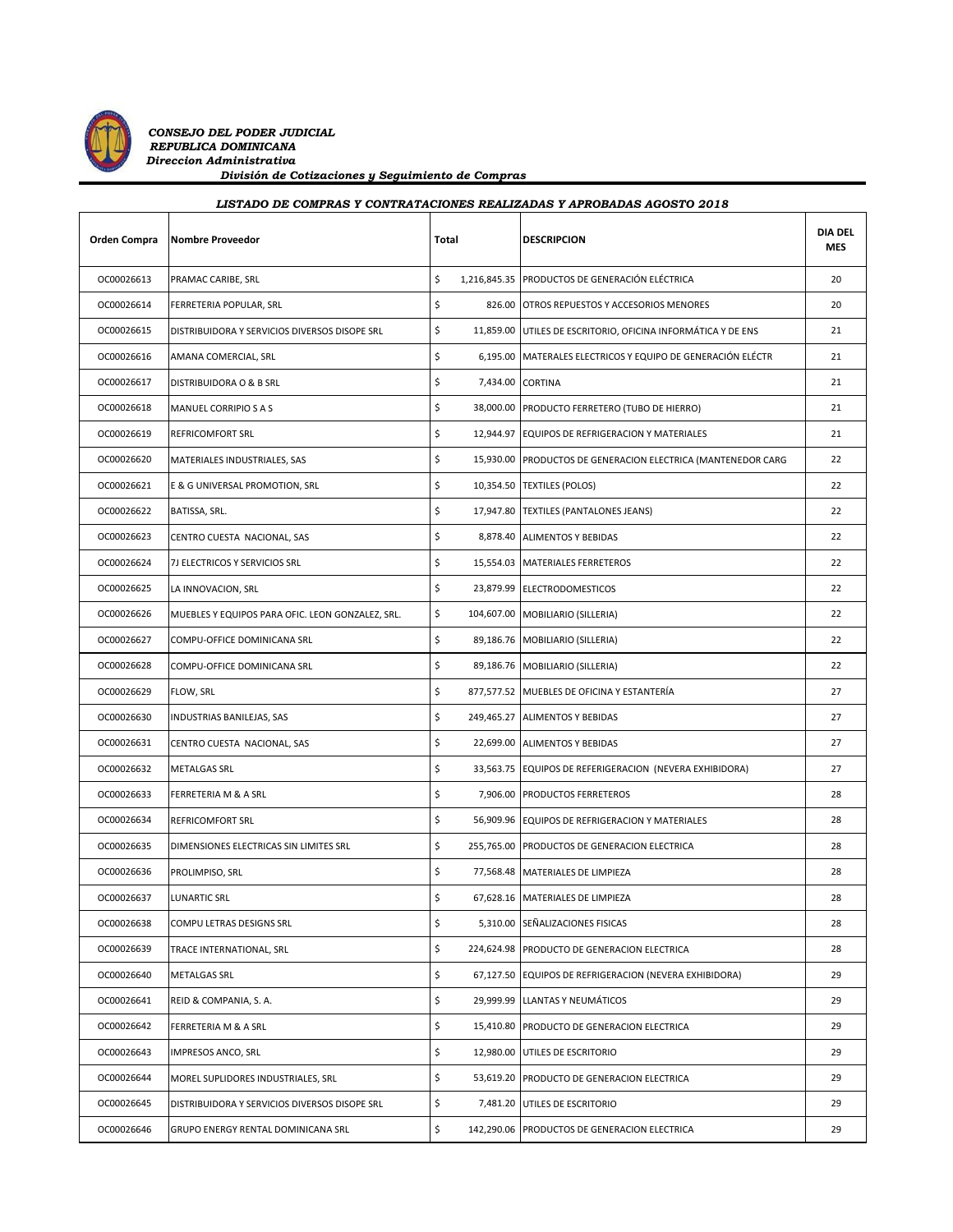

*CONSEJO DEL PODER JUDICIAL REPUBLICA DOMINICANA Direccion Administrativa División de Cotizaciones y Seguimiento de Compras*

| LISTADO DE COMPRAS Y CONTRATACIONES REALIZADAS Y APROBADAS AGOSTO 2018 |                                                  |       |                                                              |                              |  |
|------------------------------------------------------------------------|--------------------------------------------------|-------|--------------------------------------------------------------|------------------------------|--|
| Orden Compra                                                           | <b>Nombre Proveedor</b>                          | Total | <b>DESCRIPCION</b>                                           | <b>DIA DEL</b><br><b>MES</b> |  |
| OC00026613                                                             | PRAMAC CARIBE, SRL                               | \$    | 1,216,845.35 PRODUCTOS DE GENERACIÓN ELÉCTRICA               | 20                           |  |
| OC00026614                                                             | FERRETERIA POPULAR, SRL                          | \$    | 826.00 OTROS REPUESTOS Y ACCESORIOS MENORES                  | 20                           |  |
| OC00026615                                                             | DISTRIBUIDORA Y SERVICIOS DIVERSOS DISOPE SRL    | \$    | 11,859.00 UTILES DE ESCRITORIO, OFICINA INFORMÁTICA Y DE ENS | 21                           |  |
| OC00026616                                                             | AMANA COMERCIAL, SRL                             | \$    | 6,195.00 MATERALES ELECTRICOS Y EQUIPO DE GENERACIÓN ELÉCTR  | 21                           |  |
| OC00026617                                                             | DISTRIBUIDORA O & B SRL                          | \$    | 7,434.00 CORTINA                                             | 21                           |  |
| OC00026618                                                             | MANUEL CORRIPIO S A S                            | \$    | 38,000.00 PRODUCTO FERRETERO (TUBO DE HIERRO)                | 21                           |  |
| OC00026619                                                             | <b>REFRICOMFORT SRL</b>                          | \$    | 12,944.97 EQUIPOS DE REFRIGERACION Y MATERIALES              | 21                           |  |
| OC00026620                                                             | MATERIALES INDUSTRIALES, SAS                     | \$    | 15,930.00 PRODUCTOS DE GENERACION ELECTRICA (MANTENEDOR CARG | 22                           |  |
| OC00026621                                                             | E & G UNIVERSAL PROMOTION, SRL                   | \$    | 10,354.50 TEXTILES (POLOS)                                   | 22                           |  |
| OC00026622                                                             | BATISSA, SRL.                                    | \$    | 17,947.80 TEXTILES (PANTALONES JEANS)                        | 22                           |  |
| OC00026623                                                             | CENTRO CUESTA NACIONAL, SAS                      | \$    | 8,878.40 ALIMENTOS Y BEBIDAS                                 | 22                           |  |
| OC00026624                                                             | 7J ELECTRICOS Y SERVICIOS SRL                    | \$    | 15,554.03 MATERIALES FERRETEROS                              | 22                           |  |
| OC00026625                                                             | LA INNOVACION, SRL                               | \$    | 23,879.99 ELECTRODOMESTICOS                                  | 22                           |  |
| OC00026626                                                             | MUEBLES Y EQUIPOS PARA OFIC. LEON GONZALEZ, SRL. | \$    | 104,607.00 MOBILIARIO (SILLERIA)                             | 22                           |  |
| OC00026627                                                             | COMPU-OFFICE DOMINICANA SRL                      | \$    | 89,186.76 MOBILIARIO (SILLERIA)                              | 22                           |  |
| OC00026628                                                             | COMPU-OFFICE DOMINICANA SRL                      | \$    | 89,186.76 MOBILIARIO (SILLERIA)                              | 22                           |  |
| OC00026629                                                             | FLOW, SRL                                        | \$    | 877,577.52 MUEBLES DE OFICINA Y ESTANTERÍA                   | 27                           |  |
| OC00026630                                                             | INDUSTRIAS BANILEJAS, SAS                        | \$    | 249,465.27 ALIMENTOS Y BEBIDAS                               | 27                           |  |
| OC00026631                                                             | CENTRO CUESTA NACIONAL, SAS                      | \$    | 22.699.00 ALIMENTOS Y BEBIDAS                                | 27                           |  |
|                                                                        |                                                  |       |                                                              |                              |  |

| OC00026632 | <b>METALGAS SRL</b>                                  | \$ | 33.563.75 EQUIPOS DE REFERIGERACION (NEVERA EXHIBIDORA) | 27 |
|------------|------------------------------------------------------|----|---------------------------------------------------------|----|
| OC00026633 | <b>FERRETERIA M &amp; A SRL</b>                      | \$ | 7,906.00 PRODUCTOS FERRETEROS                           | 28 |
| OC00026634 | <b>REFRICOMFORT SRL</b>                              | \$ | 56,909.96 EQUIPOS DE REFRIGERACION Y MATERIALES         | 28 |
| OC00026635 | DIMENSIONES ELECTRICAS SIN LIMITES SRL               | \$ | 255,765.00 PRODUCTOS DE GENERACION ELECTRICA            | 28 |
| OC00026636 | PROLIMPISO, SRL                                      | \$ | 77,568.48 MATERIALES DE LIMPIEZA                        | 28 |
| OC00026637 | <b>LUNARTIC SRL</b>                                  | \$ | 67,628.16 MATERIALES DE LIMPIEZA                        | 28 |
| OC00026638 | <b>COMPU LETRAS DESIGNS SRL</b>                      | \$ | 5.310.00 SEÑALIZACIONES FISICAS                         | 28 |
| OC00026639 | TRACE INTERNATIONAL, SRL                             | \$ | 224,624.98 PRODUCTO DE GENERACION ELECTRICA             | 28 |
| OC00026640 | <b>METALGAS SRL</b>                                  | \$ | 67,127.50 EQUIPOS DE REFRIGERACION (NEVERA EXHIBIDORA)  | 29 |
| OC00026641 | REID & COMPANIA, S. A.                               | Ŝ. | 29,999.99 LLANTAS Y NEUMÁTICOS                          | 29 |
| OC00026642 | <b>FERRETERIA M &amp; A SRL</b>                      | \$ | 15,410.80 PRODUCTO DE GENERACION ELECTRICA              | 29 |
| OC00026643 | <b>IMPRESOS ANCO, SRL</b>                            | Ŝ. | 12.980.00 UTILES DE ESCRITORIO                          | 29 |
| OC00026644 | MOREL SUPLIDORES INDUSTRIALES, SRL                   | \$ | 53,619.20 PRODUCTO DE GENERACION ELECTRICA              | 29 |
| OC00026645 | <b>DISTRIBUIDORA Y SERVICIOS DIVERSOS DISOPE SRL</b> | \$ | 7,481.20 UTILES DE ESCRITORIO                           | 29 |
| OC00026646 | <b>GRUPO ENERGY RENTAL DOMINICANA SRL</b>            | \$ | 142,290.06 PRODUCTOS DE GENERACION ELECTRICA            | 29 |